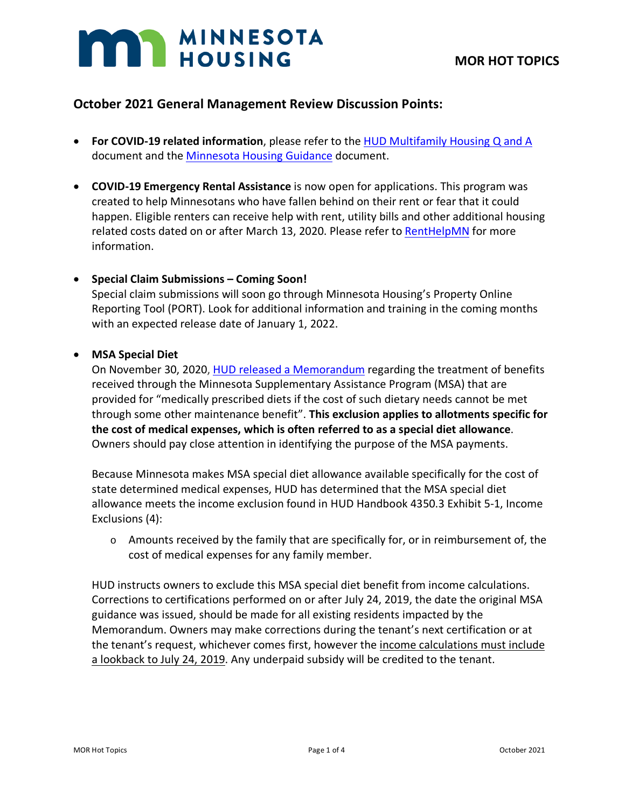# **MAN MINNESOTA**

## **October 2021 General Management Review Discussion Points:**

- **For COVID-19 related information**, please refer to the [HUD Multifamily Housing Q and A](https://www.hud.gov/sites/dfiles/Housing/documents/HUD_Multifamily_Corona_QA_FINAL.pdf) document and the [Minnesota Housing Guidance](https://www.mnhousing.gov/get/MHFA_238349) document.
- **COVID-19 Emergency Rental Assistance** is now open for applications. This program was created to help Minnesotans who have fallen behind on their rent or fear that it could happen. Eligible renters can receive help with rent, utility bills and other additional housing related costs dated on or after March 13, 2020. Please refer to [RentHelpMN](https://www.renthelpmn.org/) for more information.

## • **Special Claim Submissions – Coming Soon!**

Special claim submissions will soon go through Minnesota Housing's Property Online Reporting Tool (PORT). Look for additional information and training in the coming months with an expected release date of January 1, 2022.

## • **MSA Special Diet**

On November 30, 2020, [HUD released a Memorandum](https://www.mnhousing.gov/get/MHFA_247748) regarding the treatment of benefits received through the Minnesota Supplementary Assistance Program (MSA) that are provided for "medically prescribed diets if the cost of such dietary needs cannot be met through some other maintenance benefit". **This exclusion applies to allotments specific for the cost of medical expenses, which is often referred to as a special diet allowance**. Owners should pay close attention in identifying the purpose of the MSA payments.

Because Minnesota makes MSA special diet allowance available specifically for the cost of state determined medical expenses, HUD has determined that the MSA special diet allowance meets the income exclusion found in HUD Handbook 4350.3 Exhibit 5-1, Income Exclusions (4):

 $\circ$  Amounts received by the family that are specifically for, or in reimbursement of, the cost of medical expenses for any family member.

HUD instructs owners to exclude this MSA special diet benefit from income calculations. Corrections to certifications performed on or after July 24, 2019, the date the original MSA guidance was issued, should be made for all existing residents impacted by the Memorandum. Owners may make corrections during the tenant's next certification or at the tenant's request, whichever comes first, however the income calculations must include a lookback to July 24, 2019. Any underpaid subsidy will be credited to the tenant.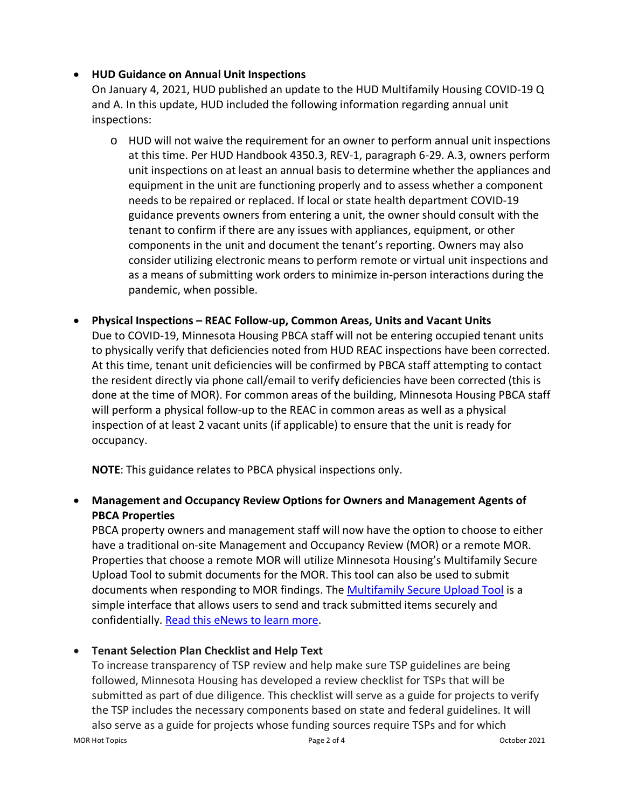## • **HUD Guidance on Annual Unit Inspections**

On January 4, 2021, HUD published an update to the HUD Multifamily Housing COVID-19 Q and A. In this update, HUD included the following information regarding annual unit inspections:

- o HUD will not waive the requirement for an owner to perform annual unit inspections at this time. Per HUD Handbook 4350.3, REV-1, paragraph 6-29. A.3, owners perform unit inspections on at least an annual basis to determine whether the appliances and equipment in the unit are functioning properly and to assess whether a component needs to be repaired or replaced. If local or state health department COVID-19 guidance prevents owners from entering a unit, the owner should consult with the tenant to confirm if there are any issues with appliances, equipment, or other components in the unit and document the tenant's reporting. Owners may also consider utilizing electronic means to perform remote or virtual unit inspections and as a means of submitting work orders to minimize in-person interactions during the pandemic, when possible.
- **Physical Inspections – REAC Follow-up, Common Areas, Units and Vacant Units** Due to COVID-19, Minnesota Housing PBCA staff will not be entering occupied tenant units to physically verify that deficiencies noted from HUD REAC inspections have been corrected. At this time, tenant unit deficiencies will be confirmed by PBCA staff attempting to contact the resident directly via phone call/email to verify deficiencies have been corrected (this is done at the time of MOR). For common areas of the building, Minnesota Housing PBCA staff will perform a physical follow-up to the REAC in common areas as well as a physical inspection of at least 2 vacant units (if applicable) to ensure that the unit is ready for occupancy.

**NOTE**: This guidance relates to PBCA physical inspections only.

# • **Management and Occupancy Review Options for Owners and Management Agents of PBCA Properties**

PBCA property owners and management staff will now have the option to choose to either have a traditional on-site Management and Occupancy Review (MOR) or a remote MOR. Properties that choose a remote MOR will utilize Minnesota Housing's Multifamily Secure Upload Tool to submit documents for the MOR. This tool can also be used to submit documents when responding to MOR findings. The [Multifamily Secure Upload Tool](https://mnhousing.leapfile.net/) is a simple interface that allows users to send and track submitted items securely and confidentially. [Read this eNews to learn more.](https://t.e2ma.net/message/rdt19b/75td7g)

## • **Tenant Selection Plan Checklist and Help Text**

MOR Hot Topics **Page 2 of 4** Page 2 of 4 October 2021 To increase transparency of TSP review and help make sure TSP guidelines are being followed, Minnesota Housing has developed a review checklist for TSPs that will be submitted as part of due diligence. This checklist will serve as a guide for projects to verify the TSP includes the necessary components based on state and federal guidelines. It will also serve as a guide for projects whose funding sources require TSPs and for which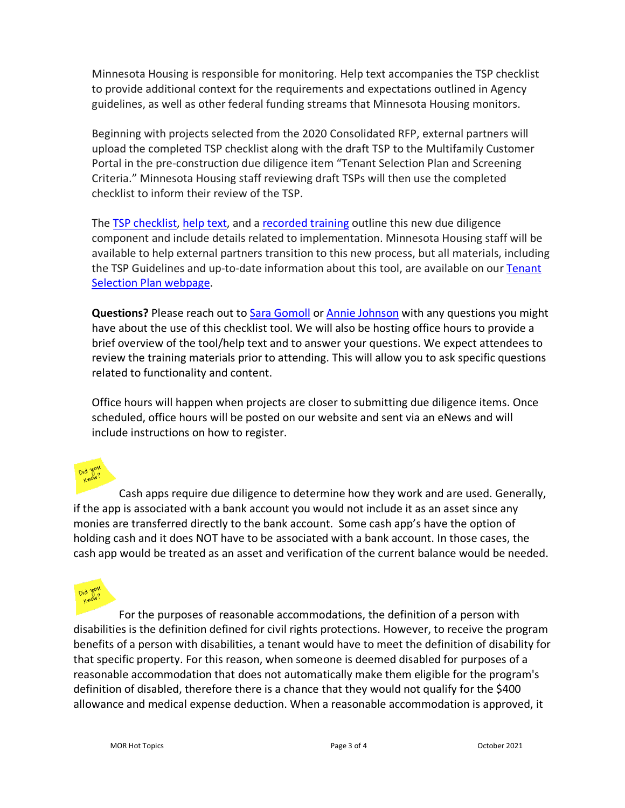Minnesota Housing is responsible for monitoring. Help text accompanies the TSP checklist to provide additional context for the requirements and expectations outlined in Agency guidelines, as well as other federal funding streams that Minnesota Housing monitors.

Beginning with projects selected from the 2020 Consolidated RFP, external partners will upload the completed TSP checklist along with the draft TSP to the Multifamily Customer Portal in the pre-construction due diligence item "Tenant Selection Plan and Screening Criteria." Minnesota Housing staff reviewing draft TSPs will then use the completed checklist to inform their review of the TSP.

The [TSP checklist,](https://www.mnhousing.gov/download/MHFA_249354) [help text,](https://www.mnhousing.gov/get/MHFA_249355) and a [recorded training](https://www.youtube.com/watch?v=MIV-FLE8zJE&feature=youtu.be) outline this new due diligence component and include details related to implementation. Minnesota Housing staff will be available to help external partners transition to this new process, but all materials, including the TSP Guidelines and up-to-date information about this tool, are available on our [Tenant](https://www.mnhousing.gov/sites/multifamily/tenantselectionplan)  [Selection Plan webpage.](https://www.mnhousing.gov/sites/multifamily/tenantselectionplan)

**Questions?** Please reach out to [Sara Gomoll](mailto:sara.gomoll@state.mn.us) or [Annie Johnson](mailto:annie.johnson@state.mn.us) with any questions you might have about the use of this checklist tool. We will also be hosting office hours to provide a brief overview of the tool/help text and to answer your questions. We expect attendees to review the training materials prior to attending. This will allow you to ask specific questions related to functionality and content.

Office hours will happen when projects are closer to submitting due diligence items. Once scheduled, office hours will be posted on our website and sent via an eNews and will include instructions on how to register.

Cash apps require due diligence to determine how they work and are used. Generally, if the app is associated with a bank account you would not include it as an asset since any monies are transferred directly to the bank account. Some cash app's have the option of holding cash and it does NOT have to be associated with a bank account. In those cases, the cash app would be treated as an asset and verification of the current balance would be needed.



For the purposes of reasonable accommodations, the definition of a person with disabilities is the definition defined for civil rights protections. However, to receive the program benefits of a person with disabilities, a tenant would have to meet the definition of disability for that specific property. For this reason, when someone is deemed disabled for purposes of a reasonable accommodation that does not automatically make them eligible for the program's definition of disabled, therefore there is a chance that they would not qualify for the \$400 allowance and medical expense deduction. When a reasonable accommodation is approved, it